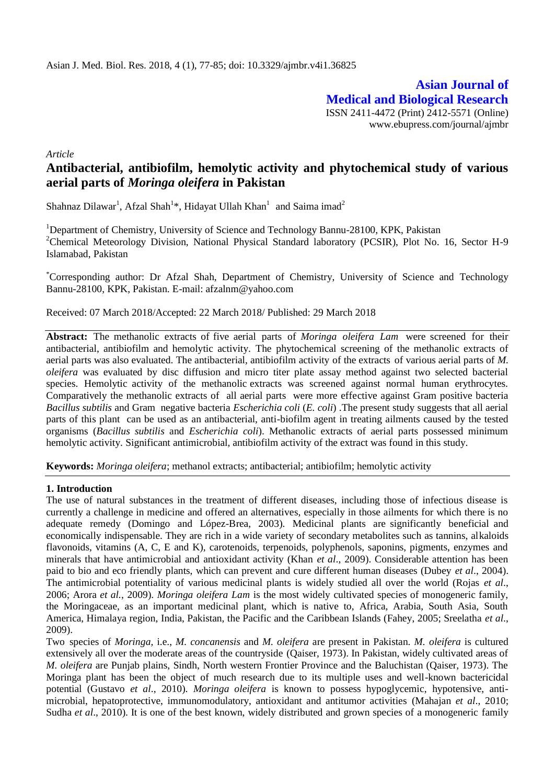**Asian Journal of Medical and Biological Research** ISSN 2411-4472 (Print) 2412-5571 (Online) www.ebupress.com/journal/ajmbr

*Article*

# **Antibacterial, antibiofilm, hemolytic activity and phytochemical study of various aerial parts of** *Moringa oleifera* **in Pakistan**

Shahnaz Dilawar<sup>1</sup>, Afzal Shah<sup>1</sup>\*, Hidayat Ullah Khan<sup>1</sup> and Saima imad<sup>2</sup>

<sup>1</sup>Department of Chemistry, University of Science and Technology Bannu-28100, KPK, Pakistan <sup>2</sup>Chemical Meteorology Division, National Physical Standard laboratory (PCSIR), Plot No. 16, Sector H-9 Islamabad, Pakistan

\*Corresponding author: Dr Afzal Shah, Department of Chemistry, University of Science and Technology Bannu-28100, KPK, Pakistan. E-mail: afzalnm@yahoo.com

Received: 07 March 2018/Accepted: 22 March 2018/ Published: 29 March 2018

**Abstract:** The methanolic extracts of five aerial parts of *Moringa oleifera Lam* were screened for their antibacterial, antibiofilm and hemolytic activity. The phytochemical screening of the methanolic extracts of aerial parts was also evaluated. The antibacterial, antibiofilm activity of the extracts of various aerial parts of *M*. *oleifera* was evaluated by disc diffusion and micro titer plate assay method against two selected bacterial species. Hemolytic activity of the methanolic extracts was screened against normal human erythrocytes. Comparatively the methanolic extracts of all aerial parts were more effective against Gram positive bacteria *Bacillus subtilis* and Gram negative bacteria *Escherichia coli* (*E. coli*) .The present study suggests that all aerial parts of this plant can be used as an antibacterial, anti-biofilm agent in treating ailments caused by the tested organisms (*Bacillus subtilis* and *Escherichia coli*). Methanolic extracts of aerial parts possessed minimum hemolytic activity. Significant antimicrobial, antibiofilm activity of the extract was found in this study.

**Keywords:** *Moringa oleifera*; methanol extracts; antibacterial; antibiofilm; hemolytic activity

#### **1. Introduction**

The use of natural substances in the treatment of different diseases, including those of infectious disease is currently a challenge in medicine and offered an alternatives, especially in those ailments for which there is no adequate remedy (Domingo and López-Brea, 2003). Medicinal plants are significantly beneficial and economically indispensable. They are rich in a wide variety of secondary metabolites such as tannins, alkaloids flavonoids, vitamins (A, C, E and K), carotenoids, terpenoids, polyphenols, saponins, pigments, enzymes and minerals that have antimicrobial and antioxidant activity (Khan *et al*., 2009). Considerable attention has been paid to bio and eco friendly plants, which can prevent and cure different human diseases (Dubey *et al*., 2004). The antimicrobial potentiality of various medicinal plants is widely studied all over the world (Rojas *et al*., 2006; Arora *et al.*, 2009). *Moringa oleifera Lam* is the most widely cultivated species of monogeneric family, the Moringaceae, as an important medicinal plant, which is native to, Africa, Arabia, South Asia, South America, Himalaya region, India, Pakistan, the Pacific and the Caribbean Islands (Fahey, 2005; Sreelatha *et al*., 2009).

Two"species of *Moringa,* i.e., *M. concanensis* and *M. oleifera* are present in Pakistan. *M. oleifera* is cultured extensively all over the moderate areas of the countryside'(Qaiser, 1973). In Pakistan, widely cultivated areas of *M. oleifera* are Punjab plains, Sindh, North western Frontier Province and the Baluchistan (Qaiser, 1973). The Moringa plant has been the object of much research due to its multiple uses and well-known bactericidal potential (Gustavo *et al*., 2010). *Moringa oleifera* is known to possess hypoglycemic, hypotensive, antimicrobial, hepatoprotective, immunomodulatory, antioxidant and antitumor activities (Mahajan *et al*., 2010; Sudha *et al.*, 2010). It is one of the best known, widely distributed and grown species of a monogeneric family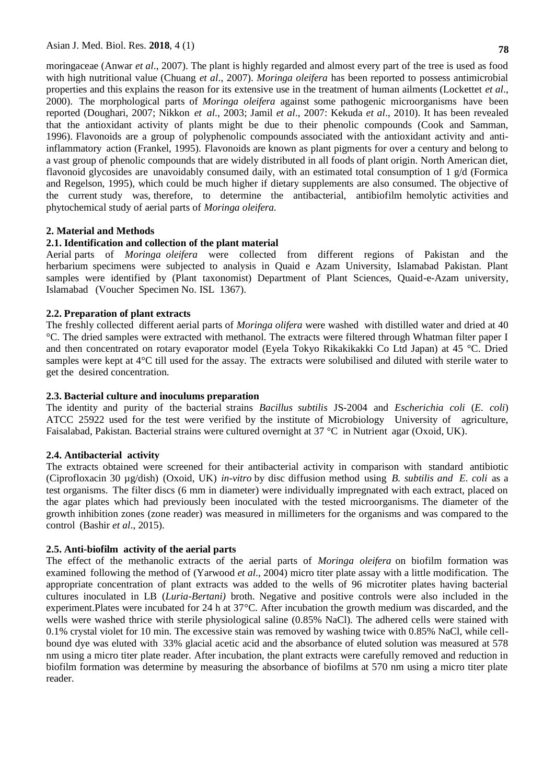moringaceae (Anwar *et al*., 2007). The plant is highly regarded and almost every part of the tree is used as food with high nutritional value (Chuang *et al*., 2007). *Moringa oleifera* has been reported to possess antimicrobial properties and this explains the reason for its extensive use in the treatment of human ailments (Lockettet *et al*., 2000). The morphological parts of *Moringa oleifera* against some pathogenic microorganisms have been reported (Doughari, 2007; Nikkon *et al.*, 2003; Jamil *et al.*, 2007: Kekuda *et al.*, 2010). It has been revealed that the antioxidant activity of plants might be due to their phenolic compounds (Cook and Samman, 1996). Flavonoids are a group of polyphenolic compounds associated with the antioxidant activity and antiinflammatory action (Frankel, 1995). Flavonoids are known as plant pigments for over a century and belong to a vast group of phenolic compounds that are widely distributed in all foods of plant origin. North American diet, flavonoid glycosides are unavoidably consumed daily, with an estimated total consumption of 1  $g/d$  (Formica and Regelson, 1995), which could be much higher if dietary supplements are also consumed. The objective of the current study was, therefore, to determine the antibacterial, antibiofilm hemolytic activities and phytochemical study of aerial parts of *Moringa oleifera.*

# **2. Material and Methods**

# **2.1. Identification and collection of the plant material**

Aerial parts of *Moringa oleifera* were collected from different regions of Pakistan and the herbarium specimens were subjected to analysis in Quaid e Azam University, Islamabad Pakistan. Plant samples were identified by (Plant taxonomist) Department of Plant Sciences, Quaid-e-Azam university, Islamabad (Voucher Specimen No. ISL 1367).

# **2.2. Preparation of plant extracts**

The freshly collected different aerial parts of *Moringa olifera* were washed with distilled water and dried at 40 °C. The dried samples were extracted with methanol. The extracts were filtered through Whatman filter paper I and then concentrated on rotary evaporator model (Eyela Tokyo Rikakikakki Co Ltd Japan) at 45 °C. Dried samples were kept at  $4^{\circ}$ C till used for the assay. The extracts were solubilised and diluted with sterile water to get the desired concentration.

### **2.3. Bacterial culture and inoculums preparation**

The identity and purity of the bacterial strains *Bacillus subtilis* JS-2004 and *Escherichia coli* (*E. coli*) ATCC 25922 used for the test were verified by the institute of Microbiology University of agriculture, Faisalabad, Pakistan. Bacterial strains were cultured overnight at  $37 \degree C$  in Nutrient agar (Oxoid, UK).

### **2.4. Antibacterial activity**

The extracts obtained were screened for their antibacterial activity in comparison with standard antibiotic (Ciprofloxacin 30 µg/dish) (Oxoid, UK) in-vitro by disc diffusion method using *B. subtilis and E. coli* as a test organisms."The filter discs (6 mm in diameter) were individually impregnated with each extract, placed on the agar plates which had previously been inoculated with the tested microorganisms..The diameter of the growth inhibition zones (zone reader) was measured in millimeters for the organisms and was compared to the control"(Bashir *et al*., 2015).

# **2.5. Anti-biofilm activity of the aerial parts**

The effect of the methanolic extracts of the aerial parts of *Moringa oleifera* on biofilm formation was examined following the method of (Yarwood *et al.*, 2004) micro titer plate assay with a little modification. The appropriate concentration of plant extracts was added to the wells of 96 microtiter plates having bacterial cultures inoculated in LB (*Luria-Bertani*) broth. Negative and positive controls were also included in the experiment.Plates were incubated for 24 h at 37°C. After incubation the growth medium was discarded, and the wells were washed thrice with sterile physiological saline (0.85% NaCl). The adhered cells were stained with 0.1% crystal violet for 10 min. The excessive stain was removed by washing twice with 0.85% NaCl, while cellbound dye was eluted with 33% glacial acetic acid and the absorbance of eluted solution was measured at 578 nm using a micro titer plate reader. After incubation, the plant extracts were carefully removed and reduction in biofilm formation was determine by measuring the absorbance of biofilms at 570 nm using a micro titer plate reader.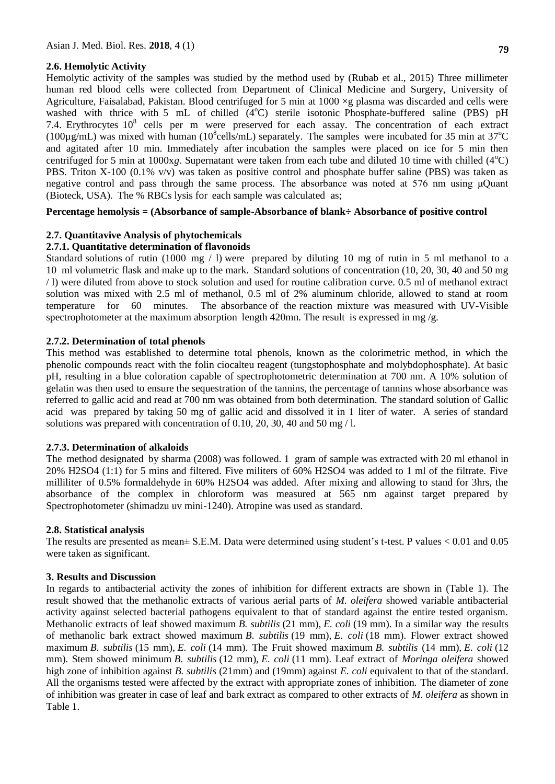# **2.6. Hemolytic Activity**

Hemolytic activity of the samples was studied by the method used by (Rubab et al., 2015) Three millimeter human red blood cells were collected from Department of Clinical Medicine and Surgery, University of Agriculture, Faisalabad, Pakistan. Blood centrifuged for 5 min at  $1000 \times g$  plasma was discarded and cells were washed with thrice with 5 mL of chilled  $(4^{\circ}C)$  sterile isotonic Phosphate-buffered saline (PBS) pH 7.4. Erythrocytes  $10^8$  cells per m were preserved for each assay. The concentration of each extract (100 $\mu$ g/mL) was mixed with human (10<sup>8</sup>cells/mL) separately. The samples were incubated for 35 min at 37<sup>o</sup>C and agitated after 10 min. Immediately after incubation the samples were placed on ice for 5 min then centrifuged for 5 min at 1000x*g*. Supernatant were taken from each tube and diluted 10 time with chilled ( $4^{\circ}$ C) PBS. Triton X-100 (0.1% v/v) was taken as positive control and phosphate buffer saline (PBS) was taken as negative control and pass through the same process. The absorbance was noted at 576 nm using μQuant (Bioteck, USA). The % RBCs lysis for each sample was calculated as;

# **Percentage hemolysis = (Absorbance of sample-Absorbance of blank÷ Absorbance of positive control**

# **2.7. Quantitavive Analysis of phytochemicals**

# **2.7.1. Quantitative determination of flavonoids**

Standard solutions of rutin (1000 mg / l) were prepared by diluting 10 mg of rutin in 5 ml methanol to a 10 ml volumetric flask and make up to the mark. Standard solutions of concentration (10, 20, 30, 40 and 50 mg / l) were diluted from above to stock solution and used for routine calibration curve. 0.5 ml of methanol extract solution was mixed with 2.5 ml of methanol, 0.5 ml of 2% aluminum chloride, allowed to stand at room temperature for 60 minutes. The absorbance of the reaction mixture was measured with UV-Visible spectrophotometer at the maximum absorption length 420mn. The result is expressed in mg /g.

# **2.7.2. Determination of total phenols**

This method was established to determine total phenols, known as the colorimetric method, in which the phenolic compounds react with the folin ciocalteu reagent (tungstophosphate and molybdophosphate). At basic pH, resulting in a blue coloration capable of spectrophotometric determination at 700 nm. A 10% solution of gelatin was then used to ensure the sequestration of the tannins, the percentage of tannins whose absorbance was referred to gallic acid and read at 700 nm was obtained from both determination. The standard solution of Gallic acid was prepared by taking 50 mg of gallic acid and dissolved it in 1 liter of water. A series of standard solutions was prepared with concentration of 0.10, 20, 30, 40 and 50 mg/l.

### **2.7.3. Determination of alkaloids**

The method designated by sharma (2008) was followed. 1 gram of sample was extracted with 20 ml ethanol in 20% H2SO4 (1:1) for 5 mins and filtered. Five militers of 60% H2SO4 was added to 1 ml of the filtrate. Five milliliter of 0.5% formaldehyde in 60% H2SO4 was added. After mixing and allowing to stand for 3hrs, the absorbance of the complex in chloroform was measured at 565 nm against target prepared by Spectrophotometer (shimadzu uv mini-1240). Atropine was used as standard."

### **2.8. Statistical analysis**

The results are presented as mean± S.E.M. Data were determined using student's t-test. P values < 0.01 and 0.05 were taken as significant.

### **3. Results and Discussion**

In regards to antibacterial activity the zones of inhibition for different extracts are shown in (Table 1). The result showed that the methanolic extracts of various aerial parts of *M. oleifera* showed variable antibacterial activity against selected bacterial pathogens equivalent to that of standard against the entire tested organism. Methanolic extracts of leaf showed maximum *B. subtilis* (21 mm), *E. coli* (19 mm). In a similar way the results of methanolic bark extract showed maximum *B. subtilis* (19 mm), *E. coli* (18 mm). Flower extract showed maximum *B. subtilis* (15 mm), *E. coli* (14 mm). The Fruit showed maximum *B. subtilis* (14 mm), *E. coli* (12 mm). Stem showed minimum *B. subtilis* (12 mm), *E. coli* (11 mm). Leaf extract of *Moringa oleifera* showed high zone of inhibition against *B. subtilis* (21mm) and (19mm) against *E. coli* equivalent to that of the standard. All the organisms tested were affected by the extract with appropriate zones of inhibition. The diameter of zone of inhibition was greater in case of leaf and bark extract as compared to other extracts of *M. oleifera* as shown in Table 1.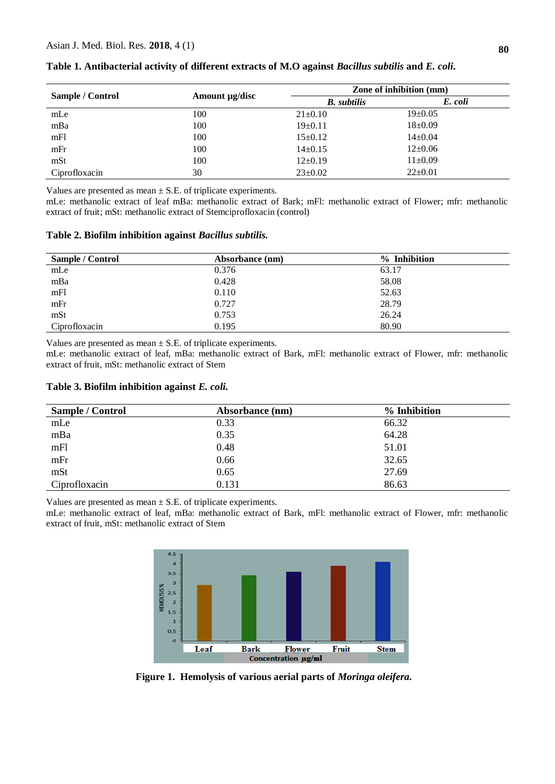| <b>Sample / Control</b> | Amount µg/disc | Zone of inhibition (mm) |               |
|-------------------------|----------------|-------------------------|---------------|
|                         |                | <b>B.</b> subtilis      | E. coli       |
| mLe                     | 100            | $21 \pm 0.10$           | $19 \pm 0.05$ |
| mBa                     | 100            | $19 \pm 0.11$           | $18 \pm 0.09$ |
| mFl                     | 100            | $15 \pm 0.12$           | $14 \pm 0.04$ |
| mFr                     | 100            | $14\pm0.15$             | $12\pm0.06$   |
| mSt                     | 100            | $12\pm0.19$             | $11\pm0.09$   |
| Ciprofloxacin           | 30             | $23 \pm 0.02$           | $22 \pm 0.01$ |

**Table 1. Antibacterial activity of different extracts of M.O against** *Bacillus subtilis* **and** *E. coli***.**

Values are presented as mean  $\pm$  S.E. of triplicate experiments.

mLe: methanolic extract of leaf mBa: methanolic extract of Bark; mFl: methanolic extract of Flower; mfr: methanolic extract of fruit; mSt: methanolic extract of Stemciprofloxacin (control)

#### **Table 2. Biofilm inhibition against** *Bacillus subtilis.*

| <b>Sample / Control</b> | Absorbance (nm) | % Inhibition |  |
|-------------------------|-----------------|--------------|--|
| mLe                     | 0.376           | 63.17        |  |
| mBa                     | 0.428           | 58.08        |  |
| mFl                     | 0.110           | 52.63        |  |
| mFr                     | 0.727           | 28.79        |  |
| mSt                     | 0.753           | 26.24        |  |
| Ciprofloxacin           | 0.195           | 80.90        |  |

Values are presented as mean  $\pm$  S.E. of triplicate experiments.

mLe: methanolic extract of leaf, mBa: methanolic extract of Bark, mFl: methanolic extract of Flower, mfr: methanolic extract of fruit, mSt: methanolic extract of Stem

| Table 3. Biofilm inhibition against E. coli. |  |  |  |
|----------------------------------------------|--|--|--|
|----------------------------------------------|--|--|--|

| <b>Sample / Control</b> | Absorbance (nm) | % Inhibition |
|-------------------------|-----------------|--------------|
| mLe                     | 0.33            | 66.32        |
| mBa                     | 0.35            | 64.28        |
| mFl                     | 0.48            | 51.01        |
| mFr                     | 0.66            | 32.65        |
| mSt                     | 0.65            | 27.69        |
| Ciprofloxacin           | 0.131           | 86.63        |

Values are presented as mean  $\pm$  S.E. of triplicate experiments.

mLe: methanolic extract of leaf, mBa: methanolic extract of Bark, mFl: methanolic extract of Flower, mfr: methanolic extract of fruit, mSt: methanolic extract of Stem



**Figure 1. Hemolysis of various aerial parts of** *Moringa oleifera.* **s**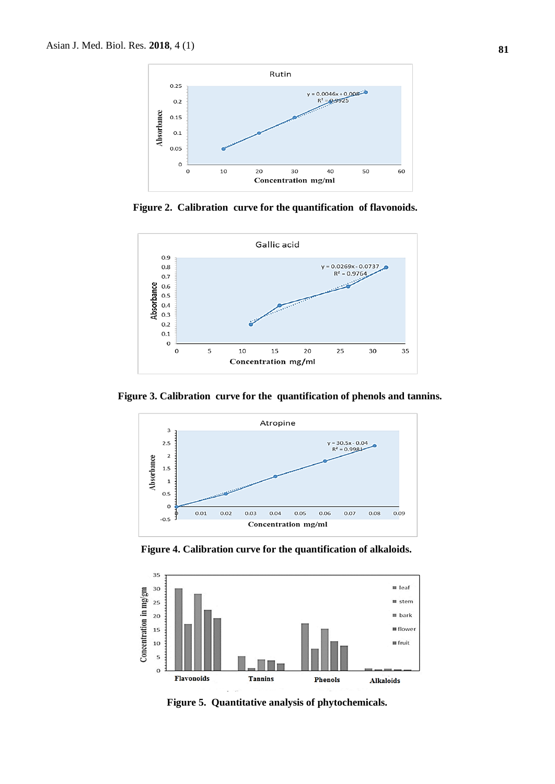

Figure 2. Calibration curve for the quantification of flavonoids.



**Figure 3. Calibration curve for the quantification of phenols and tannins.** 



**Figure 4. Calibration curve for the quantification of alkaloids.**



**Figure 5. Quantitative analysis of phytochemicals.**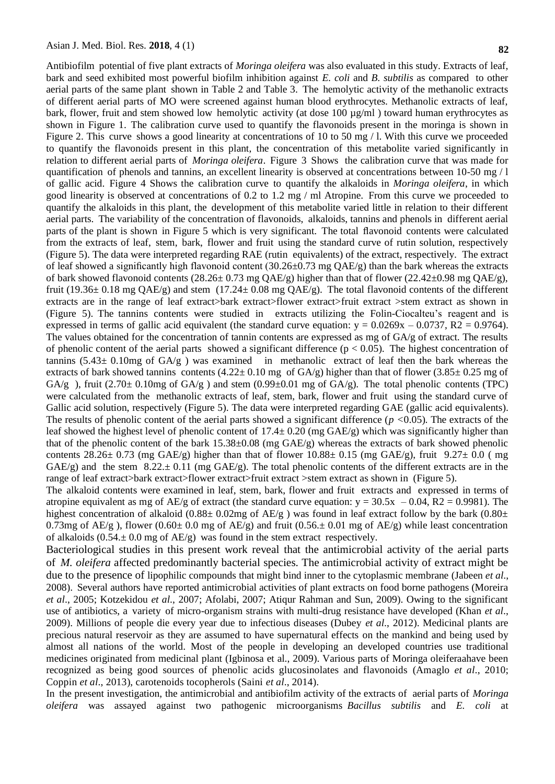Antibiofilm"potential of five plant extracts of *Moringa oleifera* was also evaluated in this study. Extracts of leaf, bark and seed exhibited most powerful biofilm inhibition against *E. coli* and *B. subtilis* as compared to other aerial parts of the same plant shown in Table 2 and Table 3. The hemolytic activity of the methanolic extracts of different aerial parts of MO were screened against human blood erythrocytes. Methanolic extracts of leaf, bark, flower, fruit and stem showed low hemolytic activity (at dose 100  $\mu$ g/ml) toward human erythrocytes as shown in Figure 1. The calibration curve used to quantify the flavonoids present in the moringa is shown in Figure 2. This curve shows a good linearity at concentrations of 10 to 50 mg  $/$  l. With this curve we proceeded to quantify the flavonoids present in this plant, the concentration of this metabolite varied significantly in relation to different aerial parts of *Moringa oleifera*. Figure 3 Shows the calibration curve that was made for quantification of phenols and tannins, an excellent linearity is observed at concentrations between  $10\n-50$  mg  $/1$ of gallic acid. Figure 4 Shows the calibration curve to quantify the alkaloids in *Moringa oleifera*, in which good linearity is observed at concentrations of 0.2 to 1.2 mg / ml Atropine. From this curve we proceeded to quantify the alkaloids in this plant, the development of this metabolite varied little in relation to their different aerial parts. The variability of the concentration of flavonoids, alkaloids, tannins and phenols in different aerial parts of the plant is shown in Figure 5 which is very significant. The total flavonoid contents were calculated from the extracts of leaf, stem, bark, flower and fruit using the standard curve of rutin solution, respectively (Figure 5). The data were interpreted regarding RAE (rutin equivalents) of the extract, respectively."The extract of leaf showed a significantly high flavonoid content  $(30.26\pm0.73 \text{ mg QAE/g})$  than the bark whereas the extracts of bark showed flavonoid contents (28.26± 0.73 mg QAE/g) higher than that of flower (22.42±0.98 mg QAE/g), fruit (19.36 $\pm$  0.18 mg QAE/g) and stem (17.24 $\pm$  0.08 mg QAE/g). The total flavonoid contents of the different extracts are in the range of leaf extract>bark extract>flower extract>fruit extract >stem extract as shown in (Figure 5). The tannins contents were studied in extracts utilizing the Folin-Ciocalteu's reagent and is expressed in terms of gallic acid equivalent (the standard curve equation:  $y = 0.0269x - 0.0737$ , R2 = 0.9764). The values obtained for the concentration of tannin contents are expressed as mg of GA/g of extract. The results of phenolic content of the aerial parts showed a significant difference ( $p < 0.05$ ). The highest concentration of tannins  $(5.43 \pm 0.10$ mg of  $GA/g$ ) was examined in methanolic extract of leaf then the bark whereas the extracts of bark showed tannins contents  $(4.22 \pm 0.10 \text{ mg of GA/g})$  higher than that of flower  $(3.85 \pm 0.25 \text{ mg of}$ GA/g ), fruit  $(2.70 \pm 0.10 \text{mg of } GA/g)$  and stem  $(0.99 \pm 0.01 \text{ mg of } GA/g)$ . The total phenolic contents (TPC) were calculated from the methanolic extracts of leaf, stem, bark, flower and fruit using the standard curve of Gallic acid solution, respectively (Figure 5). The data were interpreted regarding GAE (gallic acid equivalents). The results of phenolic content of the aerial parts showed a significant difference (*p <*0.05). The extracts of the leaf showed the highest level of phenolic content of 17.4± 0.20 (mg GAE/g) which was significantly higher than that of the phenolic content of the bark  $15.38\pm0.08$  (mg GAE/g) whereas the extracts of bark showed phenolic contents 28.26 $\pm$  0.73 (mg GAE/g) higher than that of flower 10.88 $\pm$  0.15 (mg GAE/g), fruit 9.27 $\pm$  0.0 (mg GAE/g) and the stem  $8.22 \pm 0.11$  (mg GAE/g). The total phenolic contents of the different extracts are in the range of leaf extract>bark extract>flower extract>fruit extract >stem extract as shown in (Figure 5).

The alkaloid contents were examined in leaf, stem, bark, flower and fruit extracts and expressed in terms of atropine equivalent as mg of AE/g of extract (the standard curve equation:  $y = 30.5x - 0.04$ , R2 = 0.9981). The highest concentration of alkaloid (0.88 $\pm$  0.02mg of AE/g) was found in leaf extract follow by the bark (0.80 $\pm$ 0.73mg of AE/g), flower (0.60± 0.0 mg of AE/g) and fruit (0.56.± 0.01 mg of AE/g) while least concentration of alkaloids  $(0.54 \pm 0.0 \text{ mg of AE/g})$  was found in the stem extract respectively.

Bacteriological studies in this present work reveal that the antimicrobial activity of the aerial parts of *M. oleifera* affected predominantly bacterial species. The antimicrobial activity of extract might be due to the presence of lipophilic compounds that might bind inner to the cytoplasmic membrane (Jabeen *et al*., 2008). Several authors have reported antimicrobial activities of plant extracts on food borne pathogens (Moreira *et al*., 2005; Kotzekidou *et al*., 2007; Afolabi, 2007; Atiqur Rahman and Sun, 2009). Owing to the significant use of antibiotics, a variety of micro-organism strains with multi-drug resistance have developed (Khan *et al.*, 2009). Millions of people die every year due to infectious diseases (Dubey *et al*., 2012). Medicinal plants are precious natural reservoir as they are assumed to have supernatural effects on the mankind and being used by almost all nations of the world. Most of the people in developing an developed countries use traditional medicines originated from medicinal plant (Igbinosa et al., 2009). Various parts of Moringa oleiferaahave been recognized as being good sources of phenolic acids glucosinolates and flavonoids (Amaglo *et al*., 2010; Coppin *et al.*, 2013), carotenoids tocopherols (Saini *et al.*, 2014).

In"the present investigation, the antimicrobial and antibiofilm activity of the extracts of aerial parts of *Moringa oleifera* was assayed against two pathogenic microorganisms *Bacillus subtilis* and *E. coli* at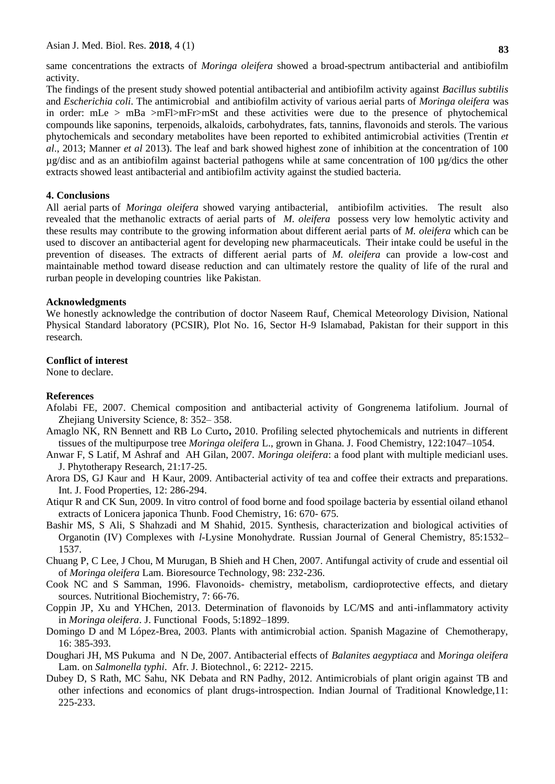same concentrations the extracts of *Moringa oleifera* showed a broad-spectrum antibacterial and antibiofilm activity.

The findings of the present study showed potential antibacterial and antibiofilm activity against *Bacillus subtilis* and *Escherichia coli*. The antimicrobial and antibiofilm activity of various aerial parts of *Moringa oleifera* was in order: mLe > mBa >mFl>mFr>mSt and these activities were due to the presence of phytochemical compounds like saponins, terpenoids, alkaloids, carbohydrates, fats, tannins, flavonoids and sterols. The various phytochemicals and secondary metabolites have been reported to exhibited antimicrobial activities (Trentin *et al*., 2013; Manner *et al* 2013). The leaf and bark showed highest zone of inhibition at the concentration of 100 µg/disc and as an antibiofilm against bacterial pathogens while at same concentration of 100 µg/dics the other extracts showed least antibacterial and antibiofilm activity against the studied bacteria.

#### **4. Conclusions**

All aerial parts of *Moringa oleifera* showed varying antibacterial, antibiofilm activities. The result also revealed that the methanolic extracts of aerial parts of *M. oleifera* possess very low hemolytic activity and these results may contribute to the growing information about different aerial parts of.*M. oleifera* which.can be used to discover an antibacterial agent for developing new pharmaceuticals. Their intake could be useful in the prevention of diseases. The extracts of different aerial parts of *M. oleifera* can provide a low-cost and maintainable method toward disease reduction and can ultimately restore the quality of life of the rural and rurban people in developing countries like Pakistan.

#### **Acknowledgments**

We honestly acknowledge the contribution of doctor Naseem Rauf, Chemical Meteorology Division, National Physical Standard laboratory (PCSIR), Plot No. 16, Sector H-9 Islamabad, Pakistan for their support in this research.

#### **Conflict of interest**

None to declare.

#### **References**

- Afolabi FE, 2007. Chemical composition and antibacterial activity of Gongrenema latifolium. Journal of Zhejiang University Science*,* 8: 352– 358.
- Amaglo NK, RN Bennett and RB Lo Curto**,** 2010. Profiling selected phytochemicals and nutrients in different tissues of the multipurpose tree *Moringa oleifera* L., grown in Ghana. J. Food Chemistry, 122:1047–1054.
- Anwar F, S Latif, M Ashraf and AH Gilan, 2007. *Moringa oleifera*: a food plant with multiple medicianl uses. J. Phytotherapy Research*,* 21:17-25.
- Arora DS, GJ Kaur and H Kaur, 2009. Antibacterial activity of tea and coffee their extracts and preparations. Int. J. Food Properties, 12: 286-294.
- Atiqur R and CK Sun, 2009. In vitro control of food borne and food spoilage bacteria by essential oiland ethanol extracts of Lonicera japonica Thunb. Food Chemistry, 16: 670- 675.
- Bashir MS, S Ali, S Shahzadi and M Shahid, 2015. Synthesis, characterization and biological activities of Organotin (IV) Complexes with *l*-Lysine Monohydrate. Russian Journal of General Chemistry, 85:1532– 1537.
- Chuang P, C Lee, J Chou, M Murugan, B Shieh and H Chen, 2007. Antifungal activity of crude and essential oil of *Moringa oleifera* Lam. Bioresource Technology, 98: 232-236.
- Cook NC and S Samman, 1996. Flavonoids- chemistry, metabolism, cardioprotective effects, and dietary sources. Nutritional Biochemistry, 7: 66-76.
- Coppin JP, Xu and YHChen, 2013. Determination of flavonoids by LC/MS and anti-inflammatory activity in *Moringa oleifera*. J. Functional Foods, 5:1892–1899.
- Domingo D and M López-Brea, 2003. Plants with antimicrobial action. Spanish Magazine of Chemotherapy, 16: 385-393.
- Doughari JH, MS Pukuma and N De, 2007. Antibacterial effects of *Balanites aegyptiaca* and *Moringa oleifera* Lam. on *Salmonella typhi*. Afr. J. Biotechnol., 6: 2212- 2215.
- Dubey D, S Rath, MC Sahu, NK Debata and RN Padhy, 2012. Antimicrobials of plant origin against TB and other infections and economics of plant drugs-introspection. Indian Journal of Traditional Knowledge,11: 225-233.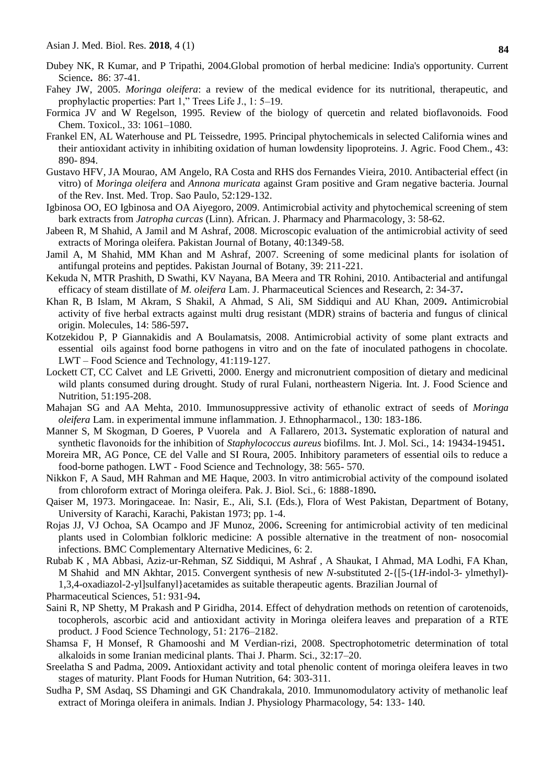- Dubey NK, R Kumar, and P Tripathi, 2004.Global promotion of herbal medicine: India's opportunity. Current Science**.** 86: 37-41.
- Fahey JW, 2005. *Moringa oleifera*: a review of the medical evidence for its nutritional, therapeutic, and prophylactic properties: Part 1," Trees Life J., 1: 5–19.
- Formica JV and W Regelson, 1995. Review of the biology of quercetin and related bioflavonoids. Food Chem. Toxicol., 33: 1061–1080.
- Frankel EN, AL Waterhouse and PL Teissedre, 1995. Principal phytochemicals in selected California wines and their antioxidant activity in inhibiting oxidation of human lowdensity lipoproteins. J. Agric. Food Chem., 43: 890- 894.
- Gustavo HFV, JA Mourao, AM Angelo, RA Costa and RHS dos Fernandes Vieira, 2010. Antibacterial effect (in vitro) of *Moringa oleifera* and *Annona muricata* against Gram positive and Gram negative bacteria. Journal of the Rev. Inst. Med. Trop. Sao Paulo, 52:129-132.
- Igbinosa OO, EO Igbinosa and OA Aiyegoro, 2009. Antimicrobial activity and phytochemical screening of stem bark extracts from *Jatropha curcas* (Linn). African. J. Pharmacy and Pharmacology, 3: 58-62.
- Jabeen R, M Shahid, A Jamil and M Ashraf, 2008. Microscopic evaluation of the antimicrobial activity of seed extracts of Moringa oleifera. Pakistan Journal of Botany, 40:1349-58.
- Jamil A, M Shahid, MM Khan and M Ashraf, 2007. Screening of some medicinal plants for isolation of antifungal proteins and peptides. Pakistan Journal of Botany, 39: 211-221.
- Kekuda N, MTR Prashith, D Swathi, KV Nayana, BA Meera and TR Rohini, 2010. Antibacterial and antifungal efficacy of steam distillate of *M. oleifera* Lam. J. Pharmaceutical Sciences and Research, 2: 34-37**.**
- Khan R, B Islam, M Akram, S Shakil, A Ahmad, S Ali, SM Siddiqui and AU Khan, 2009**.** Antimicrobial activity of five herbal extracts against multi drug resistant (MDR) strains of bacteria and fungus of clinical origin. Molecules, 14: 586-597**.**
- Kotzekidou P, P Giannakidis and A Boulamatsis, 2008. Antimicrobial activity of some plant extracts and essential oils against food borne pathogens in vitro and on the fate of inoculated pathogens in chocolate. LWT – Food Science and Technology, 41:119-127.
- Lockett CT, CC Calvet and LE Grivetti, 2000. Energy and micronutrient composition of dietary and medicinal wild plants consumed during drought. Study of rural Fulani, northeastern Nigeria. Int. J. Food Science and Nutrition, 51:195-208.
- Mahajan SG and AA Mehta, 2010. Immunosuppressive activity of ethanolic extract of seeds of *Moringa oleifera* Lam. in experimental immune inflammation. J. Ethnopharmacol., 130: 183-186.
- Manner S, M Skogman, D Goeres, P Vuorela and A Fallarero, 2013**.** Systematic exploration of natural and synthetic flavonoids for the inhibition of *Staphylococcus aureus* biofilms. Int. J. Mol. Sci., 14: 19434-19451**.**
- Moreira MR, AG Ponce, CE del Valle and SI Roura, 2005. Inhibitory parameters of essential oils to reduce a food-borne pathogen. LWT - Food Science and Technology, 38: 565- 570.
- Nikkon F, A Saud, MH Rahman and ME Haque, 2003. In vitro antimicrobial activity of the compound isolated from chloroform extract of Moringa oleifera. Pak. J. Biol. Sci., 6: 1888-1890**.**
- Qaiser M, 1973. Moringaceae. In: Nasir, E., Ali, S.I. (Eds.), Flora of West Pakistan, Department of Botany, University of Karachi, Karachi, Pakistan 1973; pp. 1-4.
- Rojas JJ, VJ Ochoa, SA Ocampo and JF Munoz, 2006**.** Screening for antimicrobial activity of ten medicinal plants used in Colombian folkloric medicine: A possible alternative in the treatment of non- nosocomial infections. BMC Complementary Alternative Medicines, 6: 2.
- Rubab K , MA Abbasi, Aziz-ur-Rehman, SZ Siddiqui, M Ashraf , A Shaukat, I Ahmad, MA Lodhi, FA Khan, M Shahid and MN Akhtar, 2015. Convergent synthesis of new *N*-substituted 2-{[5-(1*H*-indol-3- ylmethyl)- 1,3,4-oxadiazol-2-yl]sulfanyl}acetamides as suitable therapeutic agents. Brazilian Journal of
- Pharmaceutical Sciences, 51: 931-94**.**
- Saini R, NP Shetty, M Prakash and P Giridha, 2014. Effect of dehydration methods on retention of carotenoids, tocopherols, ascorbic acid and antioxidant activity in Moringa oleifera leaves and preparation of a RTE product. J Food Science Technology, 51: 2176–2182.
- Shamsa F, H Monsef, R Ghamooshi and M Verdian-rizi, 2008. Spectrophotometric determination of total alkaloids in some Iranian medicinal plants. Thai J. Pharm. Sci., 32:17–20.
- Sreelatha S and Padma, 2009**.** Antioxidant activity and total phenolic content of moringa oleifera leaves in two stages of maturity. Plant Foods for Human Nutrition, 64: 303-311.
- Sudha P, SM Asdaq, SS Dhamingi and GK Chandrakala, 2010. Immunomodulatory activity of methanolic leaf extract of Moringa oleifera in animals. Indian J. Physiology Pharmacology, 54: 133- 140.